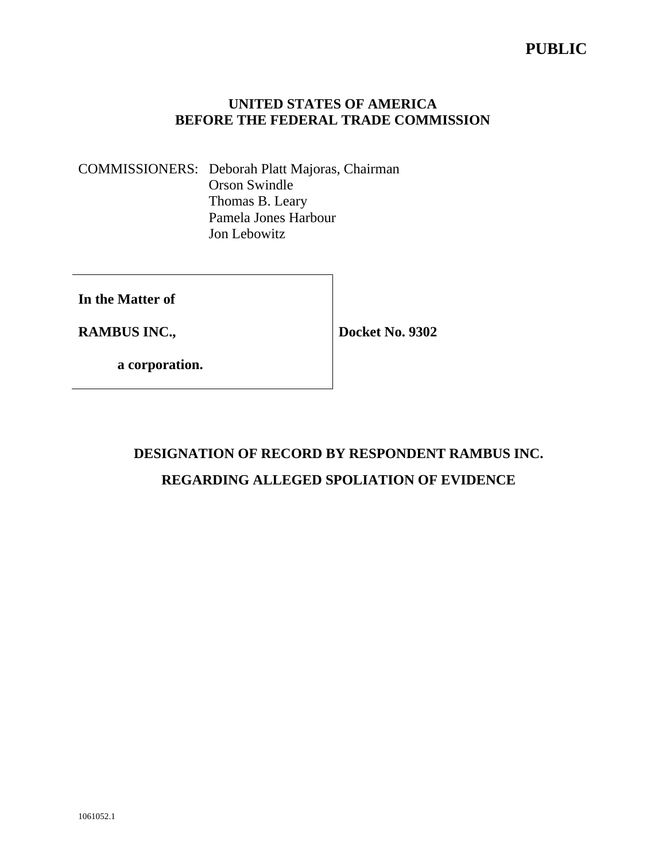## **PUBLIC**

## **UNITED STATES OF AMERICA BEFORE THE FEDERAL TRADE COMMISSION**

COMMISSIONERS: Deborah Platt Majoras, Chairman Orson Swindle Thomas B. Leary Pamela Jones Harbour Jon Lebowitz

**In the Matter of** 

**RAMBUS INC.,** 

**Docket No. 9302** 

 **a corporation.** 

# **DESIGNATION OF RECORD BY RESPONDENT RAMBUS INC. REGARDING ALLEGED SPOLIATION OF EVIDENCE**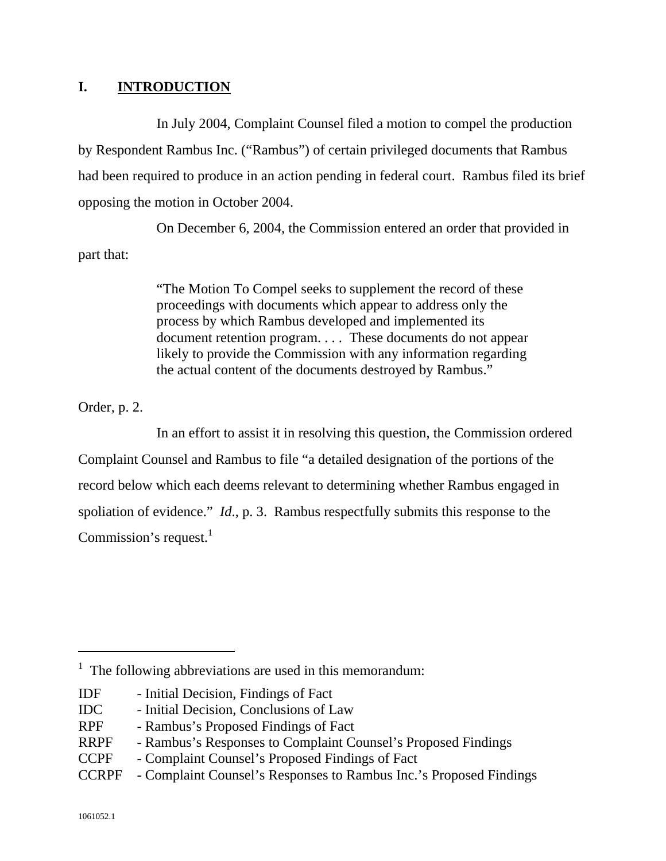#### **I. INTRODUCTION**

In July 2004, Complaint Counsel filed a motion to compel the production by Respondent Rambus Inc. ("Rambus") of certain privileged documents that Rambus had been required to produce in an action pending in federal court. Rambus filed its brief opposing the motion in October 2004.

On December 6, 2004, the Commission entered an order that provided in

part that:

"The Motion To Compel seeks to supplement the record of these proceedings with documents which appear to address only the process by which Rambus developed and implemented its document retention program. . . . These documents do not appear likely to provide the Commission with any information regarding the actual content of the documents destroyed by Rambus."

Order, p. 2.

In an effort to assist it in resolving this question, the Commission ordered Complaint Counsel and Rambus to file "a detailed designation of the portions of the record below which each deems relevant to determining whether Rambus engaged in spoliation of evidence." *Id*., p. 3. Rambus respectfully submits this response to the Commission's request. $<sup>1</sup>$ </sup>

 $\overline{a}$ 

 $<sup>1</sup>$  The following abbreviations are used in this memorandum:</sup>

IDF - Initial Decision, Findings of Fact

IDC - Initial Decision, Conclusions of Law

RPF - Rambus's Proposed Findings of Fact

RRPF - Rambus's Responses to Complaint Counsel's Proposed Findings

CCPF - Complaint Counsel's Proposed Findings of Fact

CCRPF - Complaint Counsel's Responses to Rambus Inc.'s Proposed Findings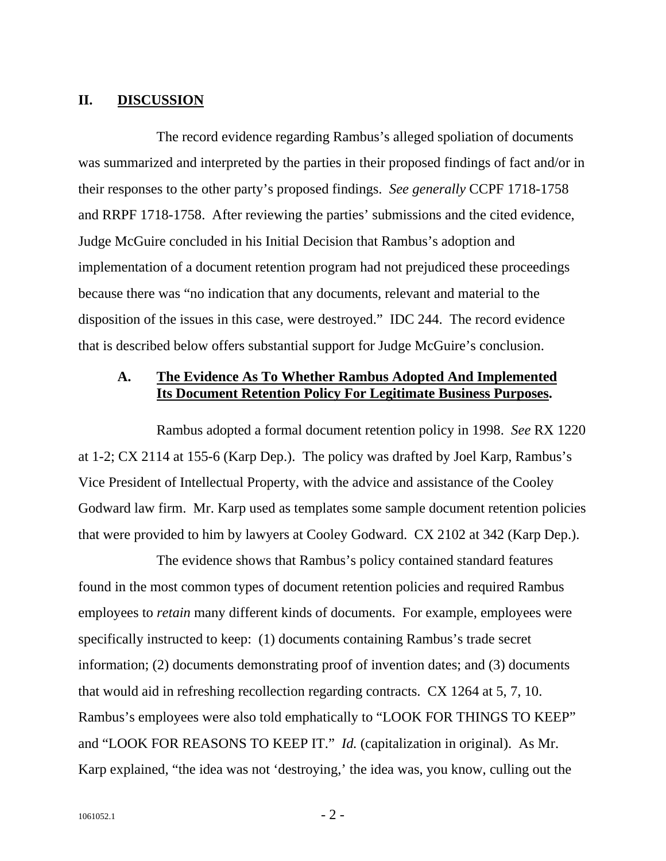#### **II. DISCUSSION**

The record evidence regarding Rambus's alleged spoliation of documents was summarized and interpreted by the parties in their proposed findings of fact and/or in their responses to the other party's proposed findings. *See generally* CCPF 1718-1758 and RRPF 1718-1758. After reviewing the parties' submissions and the cited evidence, Judge McGuire concluded in his Initial Decision that Rambus's adoption and implementation of a document retention program had not prejudiced these proceedings because there was "no indication that any documents, relevant and material to the disposition of the issues in this case, were destroyed." IDC 244. The record evidence that is described below offers substantial support for Judge McGuire's conclusion.

#### **A. The Evidence As To Whether Rambus Adopted And Implemented Its Document Retention Policy For Legitimate Business Purposes.**

Rambus adopted a formal document retention policy in 1998. *See* RX 1220 at 1-2; CX 2114 at 155-6 (Karp Dep.). The policy was drafted by Joel Karp, Rambus's Vice President of Intellectual Property, with the advice and assistance of the Cooley Godward law firm. Mr. Karp used as templates some sample document retention policies that were provided to him by lawyers at Cooley Godward. CX 2102 at 342 (Karp Dep.).

The evidence shows that Rambus's policy contained standard features found in the most common types of document retention policies and required Rambus employees to *retain* many different kinds of documents. For example, employees were specifically instructed to keep: (1) documents containing Rambus's trade secret information; (2) documents demonstrating proof of invention dates; and (3) documents that would aid in refreshing recollection regarding contracts. CX 1264 at 5, 7, 10. Rambus's employees were also told emphatically to "LOOK FOR THINGS TO KEEP" and "LOOK FOR REASONS TO KEEP IT." *Id.* (capitalization in original). As Mr. Karp explained, "the idea was not 'destroying,' the idea was, you know, culling out the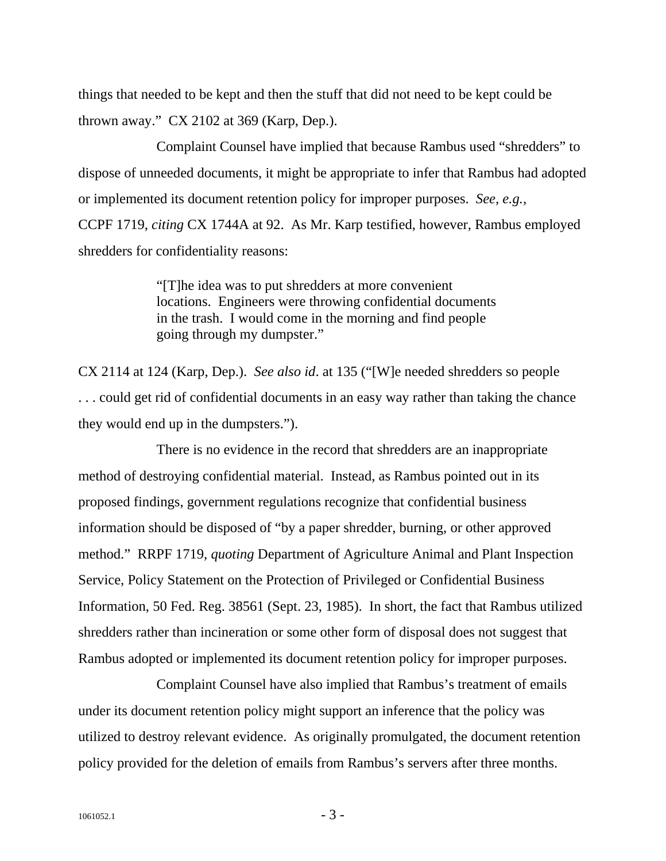things that needed to be kept and then the stuff that did not need to be kept could be thrown away." CX 2102 at 369 (Karp, Dep.).

Complaint Counsel have implied that because Rambus used "shredders" to dispose of unneeded documents, it might be appropriate to infer that Rambus had adopted or implemented its document retention policy for improper purposes. *See, e.g.,* CCPF 1719, *citing* CX 1744A at 92. As Mr. Karp testified, however, Rambus employed shredders for confidentiality reasons:

> "[T]he idea was to put shredders at more convenient locations. Engineers were throwing confidential documents in the trash. I would come in the morning and find people going through my dumpster."

CX 2114 at 124 (Karp, Dep.). *See also id*. at 135 ("[W]e needed shredders so people . . . could get rid of confidential documents in an easy way rather than taking the chance they would end up in the dumpsters.").

There is no evidence in the record that shredders are an inappropriate method of destroying confidential material. Instead, as Rambus pointed out in its proposed findings, government regulations recognize that confidential business information should be disposed of "by a paper shredder, burning, or other approved method." RRPF 1719, *quoting* Department of Agriculture Animal and Plant Inspection Service, Policy Statement on the Protection of Privileged or Confidential Business Information, 50 Fed. Reg. 38561 (Sept. 23, 1985). In short, the fact that Rambus utilized shredders rather than incineration or some other form of disposal does not suggest that Rambus adopted or implemented its document retention policy for improper purposes.

Complaint Counsel have also implied that Rambus's treatment of emails under its document retention policy might support an inference that the policy was utilized to destroy relevant evidence. As originally promulgated, the document retention policy provided for the deletion of emails from Rambus's servers after three months.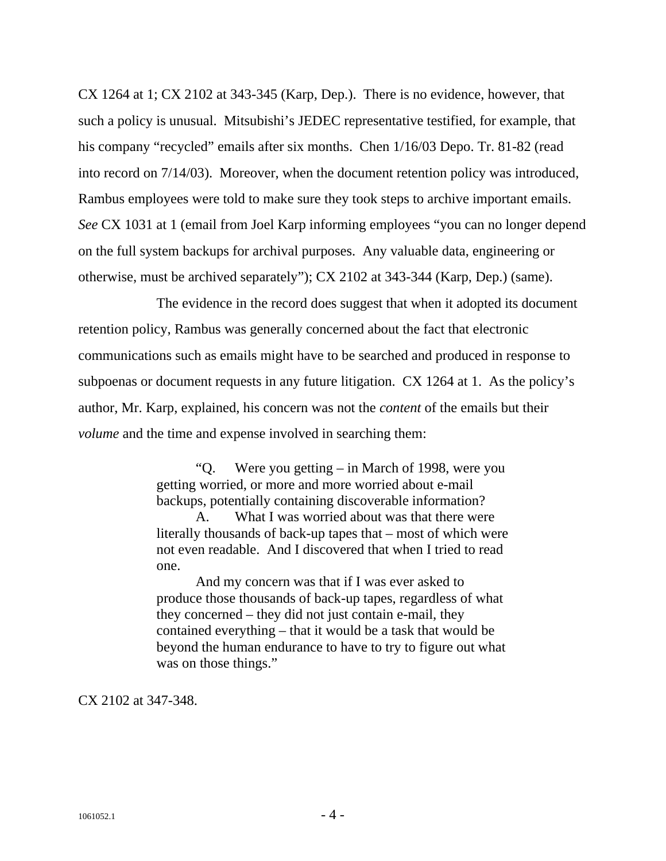CX 1264 at 1; CX 2102 at 343-345 (Karp, Dep.). There is no evidence, however, that such a policy is unusual. Mitsubishi's JEDEC representative testified, for example, that his company "recycled" emails after six months. Chen  $1/16/03$  Depo. Tr. 81-82 (read into record on 7/14/03). Moreover, when the document retention policy was introduced, Rambus employees were told to make sure they took steps to archive important emails. *See* CX 1031 at 1 (email from Joel Karp informing employees "you can no longer depend on the full system backups for archival purposes. Any valuable data, engineering or otherwise, must be archived separately"); CX 2102 at 343-344 (Karp, Dep.) (same).

The evidence in the record does suggest that when it adopted its document retention policy, Rambus was generally concerned about the fact that electronic communications such as emails might have to be searched and produced in response to subpoenas or document requests in any future litigation. CX 1264 at 1. As the policy's author, Mr. Karp, explained, his concern was not the *content* of the emails but their *volume* and the time and expense involved in searching them:

> "Q. Were you getting – in March of 1998, were you getting worried, or more and more worried about e-mail backups, potentially containing discoverable information? A. What I was worried about was that there were literally thousands of back-up tapes that – most of which were not even readable. And I discovered that when I tried to read one.

> And my concern was that if I was ever asked to produce those thousands of back-up tapes, regardless of what they concerned – they did not just contain e-mail, they contained everything – that it would be a task that would be beyond the human endurance to have to try to figure out what was on those things."

CX 2102 at 347-348.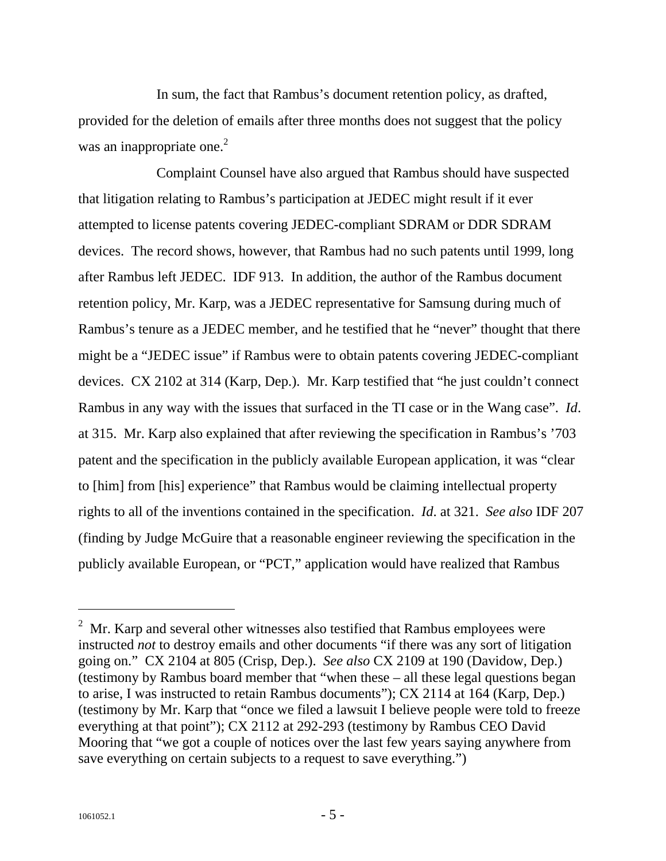In sum, the fact that Rambus's document retention policy, as drafted, provided for the deletion of emails after three months does not suggest that the policy was an inappropriate one.<sup>2</sup>

Complaint Counsel have also argued that Rambus should have suspected that litigation relating to Rambus's participation at JEDEC might result if it ever attempted to license patents covering JEDEC-compliant SDRAM or DDR SDRAM devices. The record shows, however, that Rambus had no such patents until 1999, long after Rambus left JEDEC. IDF 913. In addition, the author of the Rambus document retention policy, Mr. Karp, was a JEDEC representative for Samsung during much of Rambus's tenure as a JEDEC member, and he testified that he "never" thought that there might be a "JEDEC issue" if Rambus were to obtain patents covering JEDEC-compliant devices. CX 2102 at 314 (Karp, Dep.). Mr. Karp testified that "he just couldn't connect Rambus in any way with the issues that surfaced in the TI case or in the Wang case". *Id*. at 315. Mr. Karp also explained that after reviewing the specification in Rambus's '703 patent and the specification in the publicly available European application, it was "clear to [him] from [his] experience" that Rambus would be claiming intellectual property rights to all of the inventions contained in the specification. *Id*. at 321. *See also* IDF 207 (finding by Judge McGuire that a reasonable engineer reviewing the specification in the publicly available European, or "PCT," application would have realized that Rambus

 $\overline{a}$ 

 $2$  Mr. Karp and several other witnesses also testified that Rambus employees were instructed *not* to destroy emails and other documents "if there was any sort of litigation going on." CX 2104 at 805 (Crisp, Dep.). *See also* CX 2109 at 190 (Davidow, Dep.) (testimony by Rambus board member that "when these – all these legal questions began to arise, I was instructed to retain Rambus documents"); CX 2114 at 164 (Karp, Dep.) (testimony by Mr. Karp that "once we filed a lawsuit I believe people were told to freeze everything at that point"); CX 2112 at 292-293 (testimony by Rambus CEO David Mooring that "we got a couple of notices over the last few years saying anywhere from save everything on certain subjects to a request to save everything.")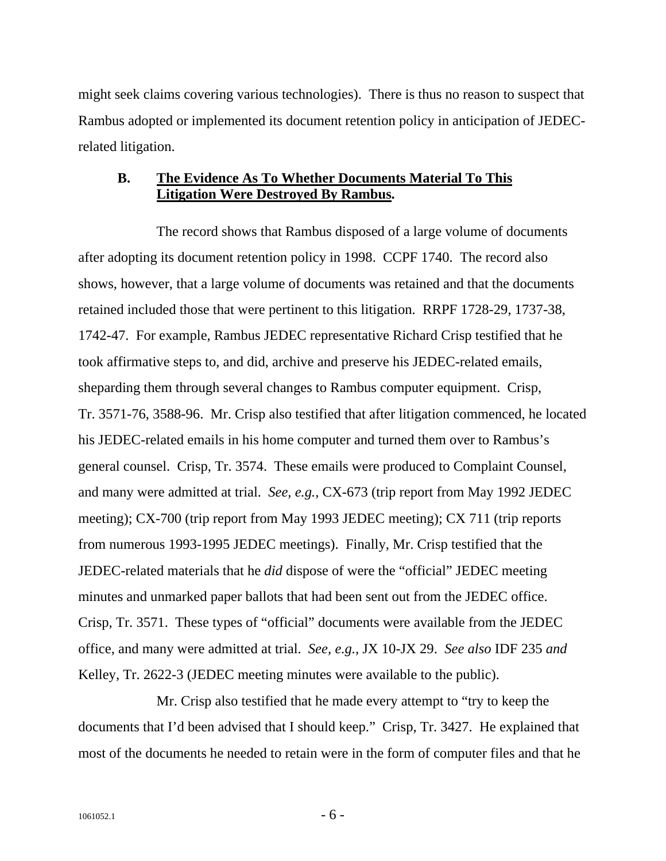might seek claims covering various technologies). There is thus no reason to suspect that Rambus adopted or implemented its document retention policy in anticipation of JEDECrelated litigation.

#### **B. The Evidence As To Whether Documents Material To This Litigation Were Destroyed By Rambus.**

The record shows that Rambus disposed of a large volume of documents after adopting its document retention policy in 1998. CCPF 1740. The record also shows, however, that a large volume of documents was retained and that the documents retained included those that were pertinent to this litigation. RRPF 1728-29, 1737-38, 1742-47. For example, Rambus JEDEC representative Richard Crisp testified that he took affirmative steps to, and did, archive and preserve his JEDEC-related emails, sheparding them through several changes to Rambus computer equipment. Crisp, Tr. 3571-76, 3588-96. Mr. Crisp also testified that after litigation commenced, he located his JEDEC-related emails in his home computer and turned them over to Rambus's general counsel. Crisp, Tr. 3574. These emails were produced to Complaint Counsel, and many were admitted at trial. *See, e.g.*, CX-673 (trip report from May 1992 JEDEC meeting); CX-700 (trip report from May 1993 JEDEC meeting); CX 711 (trip reports from numerous 1993-1995 JEDEC meetings). Finally, Mr. Crisp testified that the JEDEC-related materials that he *did* dispose of were the "official" JEDEC meeting minutes and unmarked paper ballots that had been sent out from the JEDEC office. Crisp, Tr. 3571. These types of "official" documents were available from the JEDEC office, and many were admitted at trial. *See, e.g.*, JX 10-JX 29. *See also* IDF 235 *and* Kelley, Tr. 2622-3 (JEDEC meeting minutes were available to the public).

Mr. Crisp also testified that he made every attempt to "try to keep the documents that I'd been advised that I should keep." Crisp, Tr. 3427. He explained that most of the documents he needed to retain were in the form of computer files and that he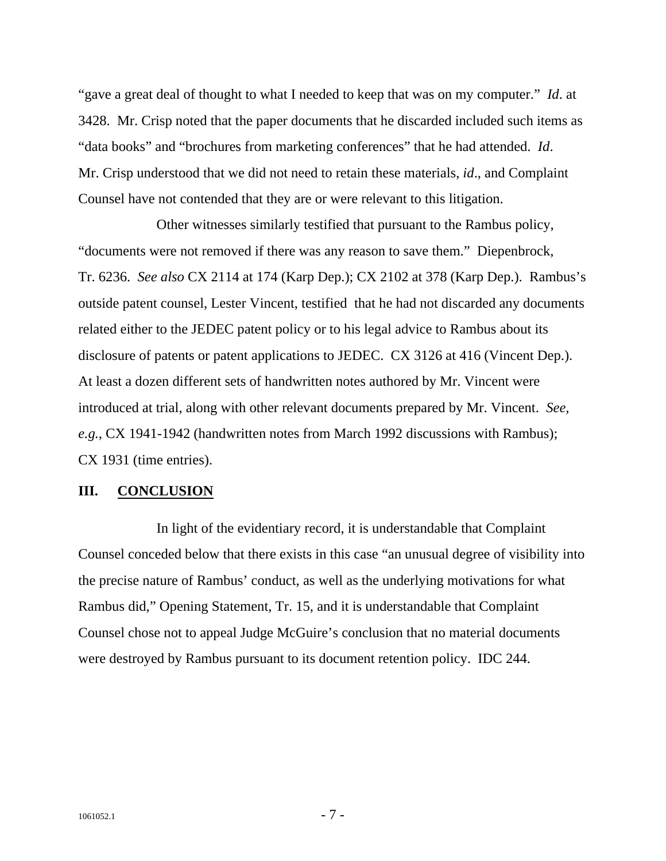"gave a great deal of thought to what I needed to keep that was on my computer." *Id*. at 3428. Mr. Crisp noted that the paper documents that he discarded included such items as "data books" and "brochures from marketing conferences" that he had attended. *Id*. Mr. Crisp understood that we did not need to retain these materials, *id*., and Complaint Counsel have not contended that they are or were relevant to this litigation.

Other witnesses similarly testified that pursuant to the Rambus policy, "documents were not removed if there was any reason to save them." Diepenbrock, Tr. 6236. *See also* CX 2114 at 174 (Karp Dep.); CX 2102 at 378 (Karp Dep.). Rambus's outside patent counsel, Lester Vincent, testified that he had not discarded any documents related either to the JEDEC patent policy or to his legal advice to Rambus about its disclosure of patents or patent applications to JEDEC. CX 3126 at 416 (Vincent Dep.). At least a dozen different sets of handwritten notes authored by Mr. Vincent were introduced at trial, along with other relevant documents prepared by Mr. Vincent. *See, e.g.*, CX 1941-1942 (handwritten notes from March 1992 discussions with Rambus); CX 1931 (time entries).

#### **III. CONCLUSION**

In light of the evidentiary record, it is understandable that Complaint Counsel conceded below that there exists in this case "an unusual degree of visibility into the precise nature of Rambus' conduct, as well as the underlying motivations for what Rambus did," Opening Statement, Tr. 15, and it is understandable that Complaint Counsel chose not to appeal Judge McGuire's conclusion that no material documents were destroyed by Rambus pursuant to its document retention policy. IDC 244.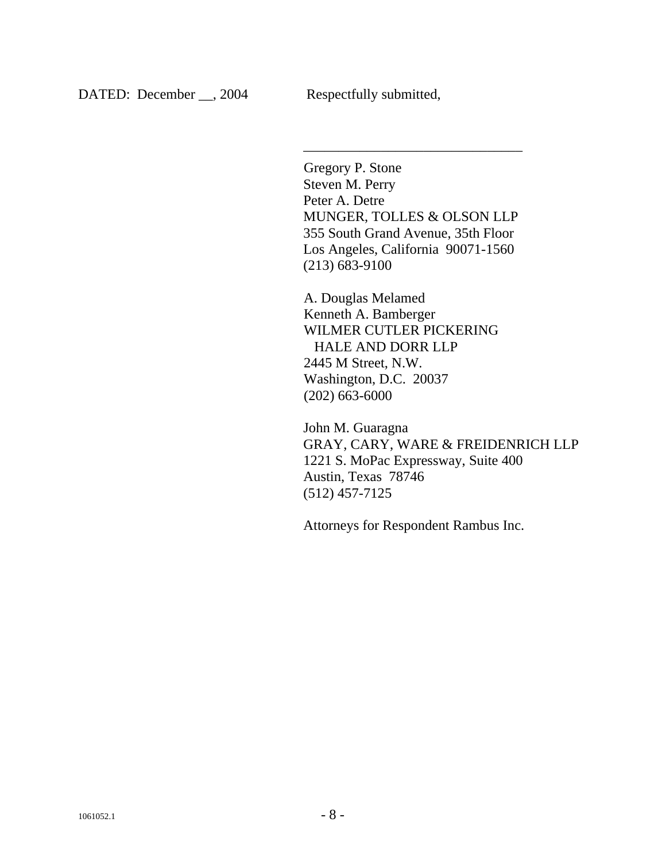Gregory P. Stone Steven M. Perry Peter A. Detre MUNGER, TOLLES & OLSON LLP 355 South Grand Avenue, 35th Floor Los Angeles, California 90071-1560 (213) 683-9100

\_\_\_\_\_\_\_\_\_\_\_\_\_\_\_\_\_\_\_\_\_\_\_\_\_\_\_\_\_\_\_

A. Douglas Melamed Kenneth A. Bamberger WILMER CUTLER PICKERING HALE AND DORR LLP 2445 M Street, N.W. Washington, D.C. 20037 (202) 663-6000

John M. Guaragna GRAY, CARY, WARE & FREIDENRICH LLP 1221 S. MoPac Expressway, Suite 400 Austin, Texas 78746 (512) 457-7125

Attorneys for Respondent Rambus Inc.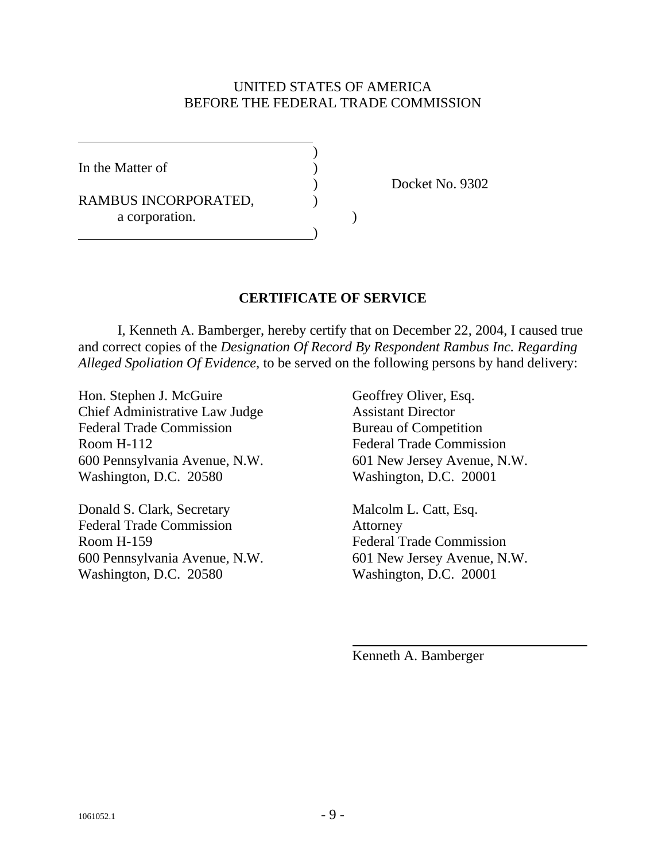#### UNITED STATES OF AMERICA BEFORE THE FEDERAL TRADE COMMISSION

In the Matter of

 $\overline{a}$ 

RAMBUS INCORPORATED, a corporation.

 $\overline{\phantom{a}}$ 

)

) Docket No. 9302

#### **CERTIFICATE OF SERVICE**

 I, Kenneth A. Bamberger, hereby certify that on December 22, 2004, I caused true and correct copies of the *Designation Of Record By Respondent Rambus Inc. Regarding Alleged Spoliation Of Evidence*, to be served on the following persons by hand delivery:

Hon. Stephen J. McGuire Geoffrey Oliver, Esq. Chief Administrative Law Judge Assistant Director Federal Trade Commission Bureau of Competition Room H-112 Federal Trade Commission 600 Pennsylvania Avenue, N.W. 601 New Jersey Avenue, N.W. Washington, D.C. 20580 Washington, D.C. 20001

Donald S. Clark, Secretary Malcolm L. Catt, Esq. Federal Trade Commission Attorney Room H-159 Federal Trade Commission 600 Pennsylvania Avenue, N.W. 601 New Jersey Avenue, N.W. Washington, D.C. 20580 Washington, D.C. 20001

Kenneth A. Bamberger